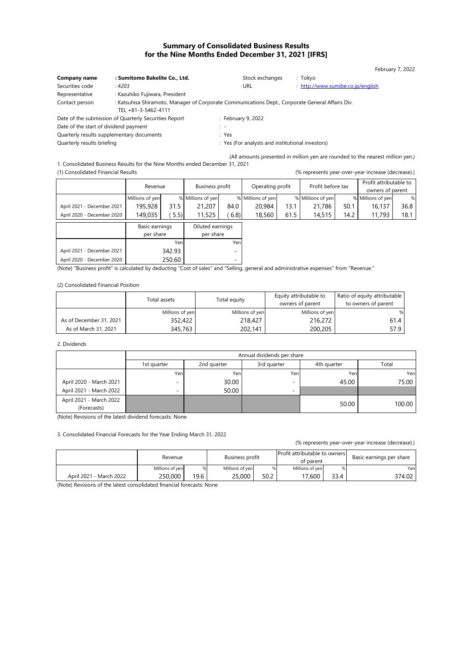# Summary of Consolidated Business Results for the Nine Months Ended December 31, 2021 [IFRS]

| Company name                              | : Sumitomo Bakelite Co., Ltd.                                                                    | Stock exchanges    | : Tokyo                           |
|-------------------------------------------|--------------------------------------------------------------------------------------------------|--------------------|-----------------------------------|
| Securities code                           | : 4203                                                                                           | URL                | : http://www.sumibe.co.jp/english |
| Representative                            | : Kazuhiko Fujiwara, President                                                                   |                    |                                   |
| Contact person                            | : Katsuhisa Shiramoto, Manager of Corporate Communications Dept., Corporate General Affairs Div. |                    |                                   |
|                                           | TEL +81-3-5462-4111                                                                              |                    |                                   |
|                                           | Date of the submission of Quarterly Securities Report                                            | : February 9, 2022 |                                   |
| Date of the start of dividend payment     |                                                                                                  | t –                |                                   |
| Quarterly results supplementary documents |                                                                                                  | : Yes              |                                   |

Quarterly results briefing **contains the contract of the CO** is Yes (For analysts and institutional investors)

(All amounts presented in million yen are rounded to the nearest million yen.) 1. Consolidated Business Results for the Nine Months ended December 31, 2021

(1) Consolidated Financial Results (% represents year-over-year increase (decrease).)

February 7, 2022

|                            | Revenue                     |        | Business profit               |      | Operating profit  |      | Profit before tax |      | Profit attributable to |      |  |
|----------------------------|-----------------------------|--------|-------------------------------|------|-------------------|------|-------------------|------|------------------------|------|--|
|                            |                             |        |                               |      |                   |      |                   |      | owners of parent       |      |  |
|                            | Millions of yen             |        | % Millions of yen             |      | % Millions of yen |      | % Millions of yen |      | % Millions of yen      | %    |  |
| April 2021 - December 2021 | 195,928                     | 31.5   | 21,207                        | 84.0 | 20,984            | 13.1 | 21,786            | 50.1 | 16,137                 | 36.8 |  |
| April 2020 - December 2020 | 149,035                     | 5.5    | 11,525                        | 6.8  | 18,560            | 61.5 | 14,515            | 14.2 | 11,793                 | 18.1 |  |
|                            | Basic earnings<br>per share |        | Diluted earnings<br>per share |      |                   |      |                   |      |                        |      |  |
|                            |                             | Yenl   |                               | Yenl |                   |      |                   |      |                        |      |  |
| April 2021 - December 2021 | 342.93                      |        |                               | ٠    |                   |      |                   |      |                        |      |  |
| April 2020 - December 2020 |                             | 250.60 |                               |      |                   |      |                   |      |                        |      |  |

(Note) "Business profit" is calculated by deducting "Cost of sales" and "Selling, general and administrative expenses" from "Revenue."

(2) Consolidated Financial Position

|                         | Total assets    | Total equity    | Equity attributable to<br>owners of parent | Ratio of equity attributable<br>to owners of parent |
|-------------------------|-----------------|-----------------|--------------------------------------------|-----------------------------------------------------|
|                         | Millions of yen | Millions of yen | Millions of yen                            | %                                                   |
| As of December 31, 2021 | 352,422         | 218,427         | 216,272                                    | $61.4$                                              |
| As of March 31, 2021    | 345,763         | 202.141         | 200,205                                    | 57.9                                                |

#### 2. Dividends

|                         | Annual dividends per share |                                                    |                          |       |        |  |  |  |
|-------------------------|----------------------------|----------------------------------------------------|--------------------------|-------|--------|--|--|--|
|                         | 1st quarter                | 3rd quarter<br>2nd quarter<br>4th quarter<br>Total |                          |       |        |  |  |  |
|                         | Yen                        | Yen                                                | Yenl                     | Yen   | Yenl   |  |  |  |
| April 2020 - March 2021 | -                          | 30.00                                              | $\overline{\phantom{0}}$ | 45.00 | 75.00  |  |  |  |
| April 2021 - March 2022 | -                          | 50.00                                              | $\overline{\phantom{0}}$ |       |        |  |  |  |
| April 2021 - March 2022 |                            |                                                    |                          | 50.00 | 100.00 |  |  |  |
| (Forecasts)             |                            |                                                    |                          |       |        |  |  |  |

(Note) Revisions of the latest dividend forecasts: None

3. Consolidated Financial Forecasts for the Year Ending March 31, 2022

(% represents year-over-year increase (decrease).)

|                         | Revenue         |      | Business profit |      | <b>Profit attributable to owners</b><br>of parent |      |        |  | Basic earnings per share |
|-------------------------|-----------------|------|-----------------|------|---------------------------------------------------|------|--------|--|--------------------------|
|                         | Millions of yen |      | Millions of yen | %    | Millions of ven                                   | %    | Yen    |  |                          |
| April 2021 - March 2022 | 250,000         | 19.6 | 25,000          | 50.2 | 17.600                                            | 33.4 | 374.02 |  |                          |

(Note) Revisions of the latest consolidated financial forecasts: None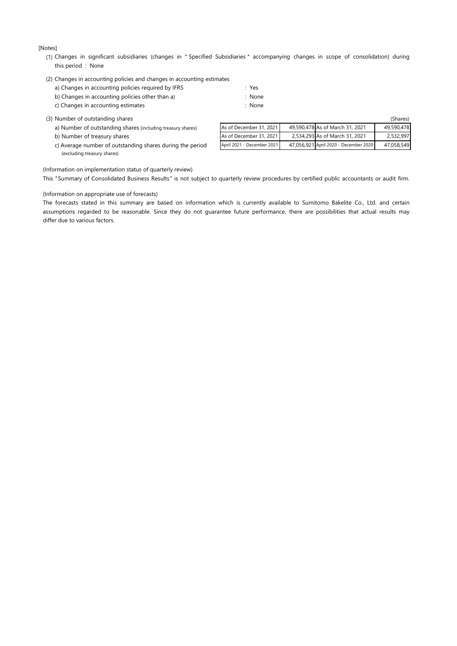[Notes]

(1) Changes in significant subsidiaries (changes in "Specified Subsidiaries" accompanying changes in scope of consolidation) during this period : None

| (2) Changes in accounting policies and changes in accounting estimates |        |
|------------------------------------------------------------------------|--------|
| a) Changes in accounting policies required by IFRS                     | : Yes  |
| b) Changes in accounting policies other than a)                        | : None |
| c) Changes in accounting estimates                                     | : None |

| (3) Number of outstanding shares                            |                            |                                       | (Shares)   |
|-------------------------------------------------------------|----------------------------|---------------------------------------|------------|
| a) Number of outstanding shares (including treasury shares) | As of December 31, 2021    | 49,590,478 As of March 31, 2021       | 49.590.478 |
| b) Number of treasury shares                                | As of December 31, 2021    | 2,534,293 As of March 31, 2021        | 2,532,997  |
| c) Average number of outstanding shares during the period   | April 2021 - December 2021 | 47.056.921 April 2020 - December 2020 | 47,058,549 |
| (excluding treasury shares)                                 |                            |                                       |            |

(Information on implementation status of quarterly review)

This "Summary of Consolidated Business Results" is not subject to quarterly review procedures by certified public accountants or audit firm.

#### (Information on appropriate use of forecasts)

differ due to various factors. assumptions regarded to be reasonable. Since they do not guarantee future performance, there are possibilities that actual results may The forecasts stated in this summary are based on information which is currently available to Sumitomo Bakelite Co., Ltd. and certain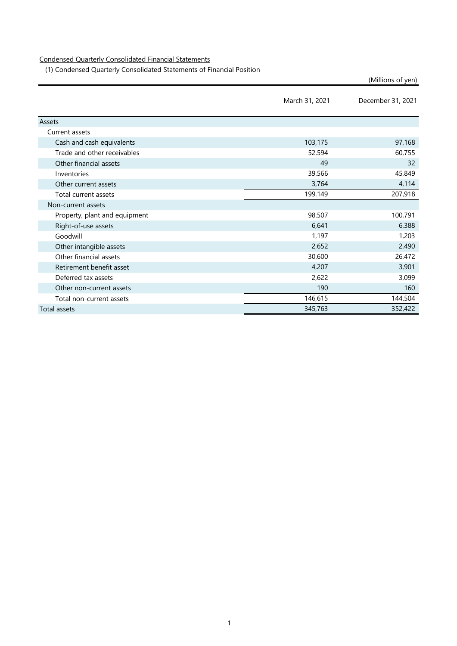Condensed Quarterly Consolidated Financial Statements

(1) Condensed Quarterly Consolidated Statements of Financial Position

|                               | March 31, 2021 | December 31, 2021 |
|-------------------------------|----------------|-------------------|
| <b>Assets</b>                 |                |                   |
| Current assets                |                |                   |
| Cash and cash equivalents     | 103,175        | 97,168            |
| Trade and other receivables   | 52,594         | 60,755            |
| Other financial assets        | 49             | 32                |
| Inventories                   | 39,566         | 45,849            |
| Other current assets          | 3,764          | 4,114             |
| Total current assets          | 199,149        | 207,918           |
| Non-current assets            |                |                   |
| Property, plant and equipment | 98,507         | 100,791           |
| Right-of-use assets           | 6,641          | 6,388             |
| Goodwill                      | 1,197          | 1,203             |
| Other intangible assets       | 2,652          | 2,490             |
| Other financial assets        | 30,600         | 26,472            |
| Retirement benefit asset      | 4,207          | 3,901             |
| Deferred tax assets           | 2,622          | 3,099             |
| Other non-current assets      | 190            | 160               |
| Total non-current assets      | 146,615        | 144,504           |
| Total assets                  | 345,763        | 352,422           |

(Millions of yen)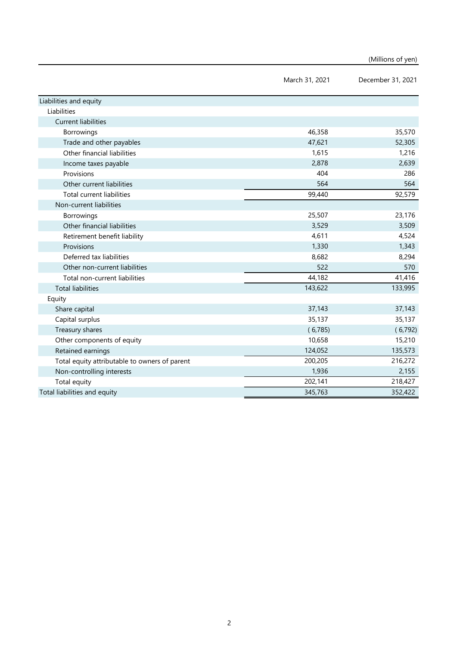(Millions of yen)

|                                               | March 31, 2021 | December 31, 2021 |
|-----------------------------------------------|----------------|-------------------|
| Liabilities and equity                        |                |                   |
| Liabilities                                   |                |                   |
| <b>Current liabilities</b>                    |                |                   |
| Borrowings                                    | 46,358         | 35,570            |
| Trade and other payables                      | 47,621         | 52,305            |
| Other financial liabilities                   | 1,615          | 1,216             |
| Income taxes payable                          | 2,878          | 2,639             |
| Provisions                                    | 404            | 286               |
| Other current liabilities                     | 564            | 564               |
| <b>Total current liabilities</b>              | 99,440         | 92,579            |
| Non-current liabilities                       |                |                   |
| Borrowings                                    | 25,507         | 23,176            |
| Other financial liabilities                   | 3,529          | 3,509             |
| Retirement benefit liability                  | 4,611          | 4,524             |
| Provisions                                    | 1,330          | 1,343             |
| Deferred tax liabilities                      | 8,682          | 8,294             |
| Other non-current liabilities                 | 522            | 570               |
| Total non-current liabilities                 | 44,182         | 41,416            |
| <b>Total liabilities</b>                      | 143,622        | 133,995           |
| Equity                                        |                |                   |
| Share capital                                 | 37,143         | 37,143            |
| Capital surplus                               | 35,137         | 35,137            |
| Treasury shares                               | (6,785)        | (6,792)           |
| Other components of equity                    | 10,658         | 15,210            |
| Retained earnings                             | 124,052        | 135,573           |
| Total equity attributable to owners of parent | 200,205        | 216,272           |
| Non-controlling interests                     | 1,936          | 2,155             |
| Total equity                                  | 202,141        | 218,427           |
| Total liabilities and equity                  | 345,763        | 352,422           |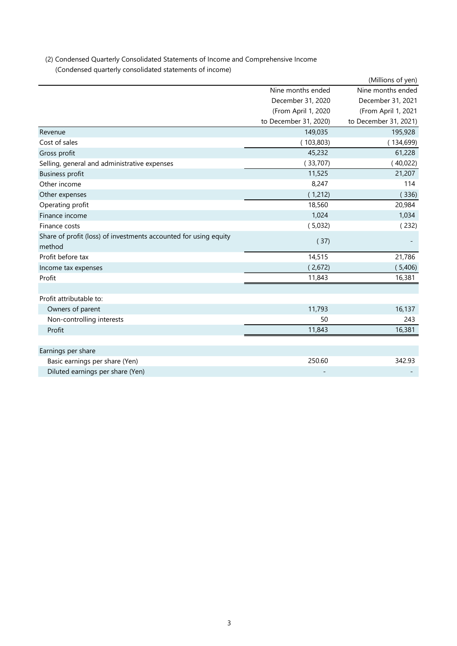| (2) Condensed Quarterly Consolidated Statements of Income and Comprehensive Income |
|------------------------------------------------------------------------------------|
| (Condensed quarterly consolidated statements of income)                            |

|                                                                  |                       | (Millions of yen)     |
|------------------------------------------------------------------|-----------------------|-----------------------|
|                                                                  | Nine months ended     | Nine months ended     |
|                                                                  | December 31, 2020     | December 31, 2021     |
|                                                                  | (From April 1, 2020   | (From April 1, 2021   |
|                                                                  | to December 31, 2020) | to December 31, 2021) |
| Revenue                                                          | 149,035               | 195,928               |
| Cost of sales                                                    | (103, 803)            | (134, 699)            |
| Gross profit                                                     | 45,232                | 61,228                |
| Selling, general and administrative expenses                     | (33,707)              | (40,022)              |
| <b>Business profit</b>                                           | 11,525                | 21,207                |
| Other income                                                     | 8,247                 | 114                   |
| Other expenses                                                   | (1,212)               | (336)                 |
| Operating profit                                                 | 18,560                | 20,984                |
| Finance income                                                   | 1,024                 | 1,034                 |
| Finance costs                                                    | (5,032)               | (232)                 |
| Share of profit (loss) of investments accounted for using equity | (37)                  |                       |
| method                                                           |                       |                       |
| Profit before tax                                                | 14,515                | 21,786                |
| Income tax expenses                                              | (2,672)               | (5,406)               |
| Profit                                                           | 11,843                | 16,381                |
|                                                                  |                       |                       |
| Profit attributable to:                                          |                       |                       |
| Owners of parent                                                 | 11,793                | 16,137                |
| Non-controlling interests                                        | 50                    | 243                   |
| Profit                                                           | 11,843                | 16,381                |
|                                                                  |                       |                       |
| Earnings per share                                               |                       |                       |
| Basic earnings per share (Yen)                                   | 250.60                | 342.93                |
| Diluted earnings per share (Yen)                                 |                       |                       |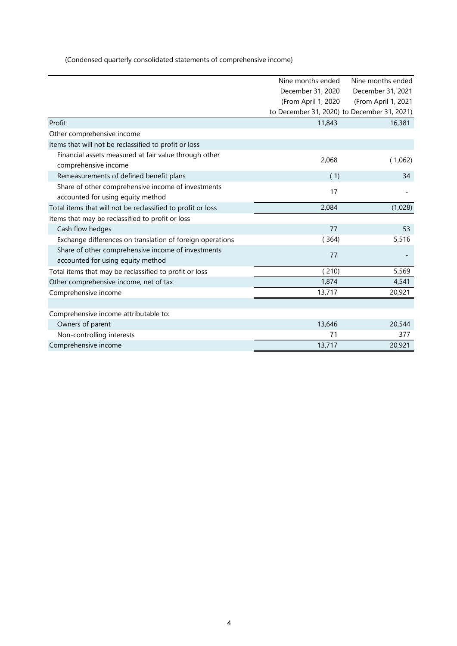(Condensed quarterly consolidated statements of comprehensive income)

|                                                             | Nine months ended                           | Nine months ended   |
|-------------------------------------------------------------|---------------------------------------------|---------------------|
|                                                             | December 31, 2020                           | December 31, 2021   |
|                                                             | (From April 1, 2020                         | (From April 1, 2021 |
|                                                             | to December 31, 2020) to December 31, 2021) |                     |
| Profit                                                      | 11,843                                      | 16,381              |
| Other comprehensive income                                  |                                             |                     |
| Items that will not be reclassified to profit or loss       |                                             |                     |
| Financial assets measured at fair value through other       | 2,068                                       | (1,062)             |
| comprehensive income                                        |                                             |                     |
| Remeasurements of defined benefit plans                     | (1)                                         | 34                  |
| Share of other comprehensive income of investments          | 17                                          |                     |
| accounted for using equity method                           |                                             |                     |
| Total items that will not be reclassified to profit or loss | 2,084                                       | (1,028)             |
| Items that may be reclassified to profit or loss            |                                             |                     |
| Cash flow hedges                                            | 77                                          | 53                  |
| Exchange differences on translation of foreign operations   | (364)                                       | 5,516               |
| Share of other comprehensive income of investments          | 77                                          |                     |
| accounted for using equity method                           |                                             |                     |
| Total items that may be reclassified to profit or loss      | 210                                         | 5,569               |
| Other comprehensive income, net of tax                      | 1,874                                       | 4,541               |
| Comprehensive income                                        | 13,717                                      | 20,921              |
|                                                             |                                             |                     |
| Comprehensive income attributable to:                       |                                             |                     |
| Owners of parent                                            | 13,646                                      | 20,544              |
| Non-controlling interests                                   | 71                                          | 377                 |
| Comprehensive income                                        | 13,717                                      | 20,921              |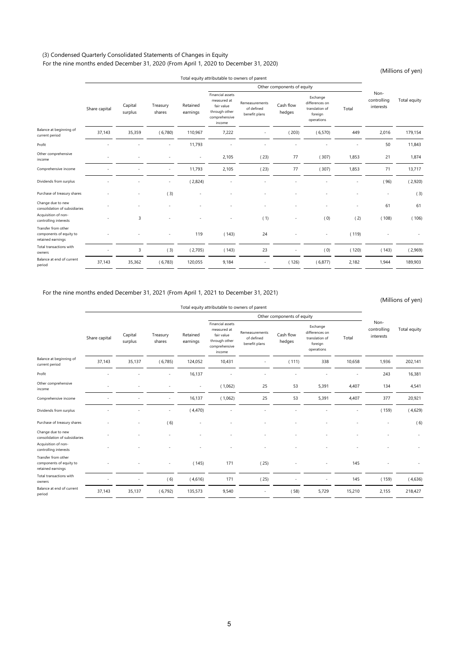## (3) Condensed Quarterly Consolidated Statements of Changes in Equity For the nine months ended December 31, 2020 (From April 1, 2020 to December 31, 2020)

(Millions of yen)

|                                                                     | Total equity attributable to owners of parent |                    |                    |                      |                                                                                           |                                               |                     |                                                                       |       |                                  | $\sqrt{2}$   |
|---------------------------------------------------------------------|-----------------------------------------------|--------------------|--------------------|----------------------|-------------------------------------------------------------------------------------------|-----------------------------------------------|---------------------|-----------------------------------------------------------------------|-------|----------------------------------|--------------|
|                                                                     | Other components of equity                    |                    |                    |                      |                                                                                           |                                               |                     |                                                                       |       |                                  |              |
|                                                                     | Share capital                                 | Capital<br>surplus | Treasury<br>shares | Retained<br>earnings | Financial assets<br>measured at<br>fair value<br>through other<br>comprehensive<br>income | Remeasurements<br>of defined<br>benefit plans | Cash flow<br>hedges | Exchange<br>differences on<br>translation of<br>foreign<br>operations | Total | Non-<br>controlling<br>interests | Total equity |
| Balance at beginning of<br>current period                           | 37,143                                        | 35,359             | (6,780)            | 110,967              | 7,222                                                                                     |                                               | (203)               | (6,570)                                                               | 449   | 2,016                            | 179,154      |
| Profit                                                              |                                               |                    |                    | 11,793               |                                                                                           |                                               |                     |                                                                       | ٠     | 50                               | 11,843       |
| Other comprehensive<br>income                                       |                                               |                    |                    | $\sim$               | 2,105                                                                                     | (23)                                          | 77                  | (307)                                                                 | 1,853 | 21                               | 1,874        |
| Comprehensive income                                                |                                               |                    | ٠                  | 11,793               | 2,105                                                                                     | (23)                                          | 77                  | (307)                                                                 | 1,853 | 71                               | 13,717       |
| Dividends from surplus                                              |                                               |                    |                    | (2,824)              |                                                                                           |                                               |                     |                                                                       |       | (96)                             | (2,920)      |
| Purchase of treasury shares                                         |                                               |                    | (3)                |                      |                                                                                           |                                               |                     |                                                                       |       | $\overline{\phantom{a}}$         | (3)          |
| Change due to new<br>consolidation of subsidiaries                  |                                               |                    |                    |                      |                                                                                           |                                               |                     |                                                                       |       | 61                               | 61           |
| Acquisition of non-<br>controlling interests                        |                                               | 3                  |                    |                      |                                                                                           | (1)                                           |                     | (0)                                                                   | (2)   | (108)                            | (106)        |
| Transfer from other<br>components of equity to<br>retained earnings |                                               |                    |                    | 119                  | (143)                                                                                     | 24                                            |                     | $\overline{\phantom{m}}$                                              | (119) |                                  |              |
| Total transactions with<br>owners                                   |                                               | 3                  | (3)                | (2,705)              | (143)                                                                                     | 23                                            |                     | (0)                                                                   | (120) | (143)                            | (2,969)      |
| Balance at end of current<br>period                                 | 37,143                                        | 35,362             | (6, 783)           | 120,055              | 9,184                                                                                     |                                               | (126)               | (6,877)                                                               | 2,182 | 1,944                            | 189,903      |

## For the nine months ended December 31, 2021 (From April 1, 2021 to December 31, 2021)

(Millions of yen)

|                                                                     | Total equity attributable to owners of parent |                            |                    |                      |                                                                                           |                                               |                     |                                                                       |        | $\mu$                            |              |
|---------------------------------------------------------------------|-----------------------------------------------|----------------------------|--------------------|----------------------|-------------------------------------------------------------------------------------------|-----------------------------------------------|---------------------|-----------------------------------------------------------------------|--------|----------------------------------|--------------|
|                                                                     |                                               | Other components of equity |                    |                      |                                                                                           |                                               |                     |                                                                       |        |                                  |              |
|                                                                     | Share capital                                 | Capital<br>surplus         | Treasury<br>shares | Retained<br>earnings | Financial assets<br>measured at<br>fair value<br>through other<br>comprehensive<br>income | Remeasurements<br>of defined<br>benefit plans | Cash flow<br>hedges | Exchange<br>differences on<br>translation of<br>foreign<br>operations | Total  | Non-<br>controlling<br>interests | Total equity |
| Balance at beginning of<br>current period                           | 37,143                                        | 35,137                     | (6,785)            | 124,052              | 10,431                                                                                    |                                               | (111)               | 338                                                                   | 10,658 | 1,936                            | 202,141      |
| Profit                                                              |                                               |                            | ä,                 | 16,137               |                                                                                           |                                               | ٠                   |                                                                       |        | 243                              | 16,381       |
| Other comprehensive<br>income                                       |                                               |                            |                    | $\sim$               | (1,062)                                                                                   | 25                                            | 53                  | 5,391                                                                 | 4,407  | 134                              | 4,541        |
| Comprehensive income                                                |                                               |                            | ٠                  | 16,137               | (1,062)                                                                                   | 25                                            | 53                  | 5,391                                                                 | 4,407  | 377                              | 20,921       |
| Dividends from surplus                                              |                                               |                            |                    | (4,470)              |                                                                                           |                                               |                     |                                                                       |        | (159)                            | (4,629)      |
| Purchase of treasury shares                                         |                                               |                            | (6)                |                      |                                                                                           |                                               |                     |                                                                       |        |                                  | (6)          |
| Change due to new<br>consolidation of subsidiaries                  |                                               |                            |                    |                      |                                                                                           |                                               |                     |                                                                       |        |                                  |              |
| Acquisition of non-<br>controlling interests                        |                                               |                            |                    |                      |                                                                                           |                                               |                     |                                                                       |        |                                  |              |
| Transfer from other<br>components of equity to<br>retained earnings |                                               |                            |                    | (145)                | 171                                                                                       | (25)                                          |                     |                                                                       | 145    |                                  |              |
| Total transactions with<br>owners                                   |                                               |                            | (6)                | (4,616)              | 171                                                                                       | (25)                                          |                     |                                                                       | 145    | (159)                            | (4,636)      |
| Balance at end of current<br>period                                 | 37,143                                        | 35,137                     | (6,792)            | 135,573              | 9,540                                                                                     | $\overline{\phantom{a}}$                      | (58)                | 5,729                                                                 | 15,210 | 2,155                            | 218,427      |
|                                                                     |                                               |                            |                    |                      |                                                                                           |                                               |                     |                                                                       |        |                                  |              |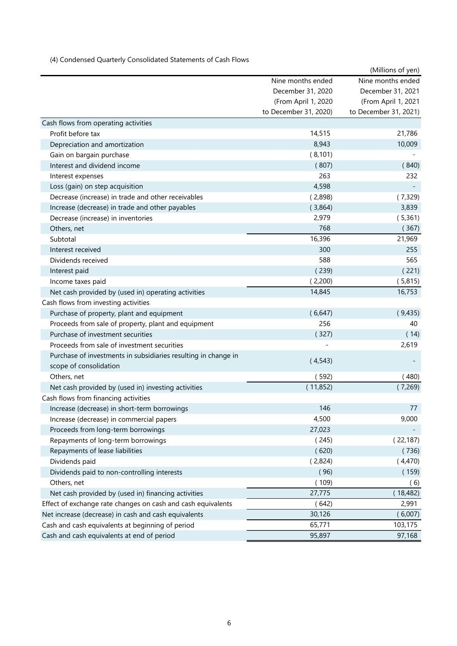(4) Condensed Quarterly Consolidated Statements of Cash Flows

|                                                                |                       | (Millions of yen)     |
|----------------------------------------------------------------|-----------------------|-----------------------|
|                                                                | Nine months ended     | Nine months ended     |
|                                                                | December 31, 2020     | December 31, 2021     |
|                                                                | (From April 1, 2020   | (From April 1, 2021   |
|                                                                | to December 31, 2020) | to December 31, 2021) |
| Cash flows from operating activities                           |                       |                       |
| Profit before tax                                              | 14,515                | 21,786                |
| Depreciation and amortization                                  | 8,943                 | 10,009                |
| Gain on bargain purchase                                       | (8, 101)              |                       |
| Interest and dividend income                                   | (807)                 | (840)                 |
| Interest expenses                                              | 263                   | 232                   |
| Loss (gain) on step acquisition                                | 4,598                 |                       |
| Decrease (increase) in trade and other receivables             | (2,898)               | (7,329)               |
| Increase (decrease) in trade and other payables                | (3,864)               | 3,839                 |
| Decrease (increase) in inventories                             | 2,979                 | (5,361)               |
| Others, net                                                    | 768                   | (367)                 |
| Subtotal                                                       | 16,396                | 21,969                |
| Interest received                                              | 300                   | 255                   |
| Dividends received                                             | 588                   | 565                   |
| Interest paid                                                  | (239)                 | (221)                 |
| Income taxes paid                                              | (2,200)               | (5,815)               |
| Net cash provided by (used in) operating activities            | 14,845                | 16,753                |
| Cash flows from investing activities                           |                       |                       |
| Purchase of property, plant and equipment                      | (6,647)               | (9,435)               |
| Proceeds from sale of property, plant and equipment            | 256                   | 40                    |
| Purchase of investment securities                              | (327)                 | (14)                  |
| Proceeds from sale of investment securities                    |                       | 2,619                 |
| Purchase of investments in subsidiaries resulting in change in | (4,543)               |                       |
| scope of consolidation                                         |                       |                       |
| Others, net                                                    | (592)                 | (480)                 |
| Net cash provided by (used in) investing activities            | (11,852)              | (7,269)               |
| Cash flows from financing activities                           |                       |                       |
| Increase (decrease) in short-term borrowings                   | 146                   | 77                    |
| Increase (decrease) in commercial papers                       | 4,500                 | 9,000                 |
| Proceeds from long-term borrowings                             | 27,023                |                       |
| Repayments of long-term borrowings                             | (245)                 | (22, 187)             |
| Repayments of lease liabilities                                | (620)                 | (736)                 |
| Dividends paid                                                 | (2,824)               | (4,470)               |
| Dividends paid to non-controlling interests                    | (96)                  | (159)                 |
| Others, net                                                    | (109)                 | (6)                   |
| Net cash provided by (used in) financing activities            | 27,775                | (18, 482)             |
| Effect of exchange rate changes on cash and cash equivalents   | (642)                 | 2,991                 |
| Net increase (decrease) in cash and cash equivalents           | 30,126                | (6,007)               |
| Cash and cash equivalents at beginning of period               | 65,771                | 103,175               |
| Cash and cash equivalents at end of period                     | 95,897                | 97,168                |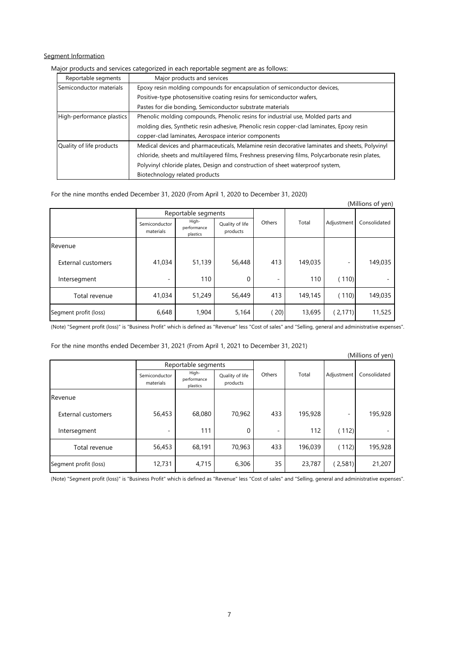## Segment Information

# Major products and services categorized in each reportable segment are as follows:

| Reportable segments       | Major products and services                                                                      |
|---------------------------|--------------------------------------------------------------------------------------------------|
| Semiconductor materials   | Epoxy resin molding compounds for encapsulation of semiconductor devices,                        |
|                           | Positive-type photosensitive coating resins for semiconductor wafers,                            |
|                           | Pastes for die bonding, Semiconductor substrate materials                                        |
| High-performance plastics | Phenolic molding compounds, Phenolic resins for industrial use, Molded parts and                 |
|                           | molding dies, Synthetic resin adhesive, Phenolic resin copper-clad laminates, Epoxy resin        |
|                           | copper-clad laminates, Aerospace interior components                                             |
| Quality of life products  | Medical devices and pharmaceuticals, Melamine resin decorative laminates and sheets, Polyvinyl   |
|                           | chloride, sheets and multilayered films, Freshness preserving films, Polycarbonate resin plates, |
|                           | Polyvinyl chloride plates, Design and construction of sheet waterproof system,                   |
|                           | Biotechnology related products                                                                   |

### For the nine months ended December 31, 2020 (From April 1, 2020 to December 31, 2020)

|                           |                            |                                  |                             |        |         |            | (Millions of yen) |
|---------------------------|----------------------------|----------------------------------|-----------------------------|--------|---------|------------|-------------------|
|                           |                            | Reportable segments              |                             |        |         |            |                   |
|                           | Semiconductor<br>materials | High-<br>performance<br>plastics | Quality of life<br>products | Others | Total   | Adjustment | Consolidated      |
| Revenue                   |                            |                                  |                             |        |         |            |                   |
| <b>External customers</b> | 41,034                     | 51,139                           | 56,448                      | 413    | 149,035 |            | 149,035           |
| Intersegment              | -                          | 110                              | 0                           | ٠      | 110     | (110)      |                   |
| Total revenue             | 41,034                     | 51,249                           | 56,449                      | 413    | 149,145 | (110)      | 149,035           |
| Segment profit (loss)     | 6,648                      | 1,904                            | 5,164                       | 20)    | 13,695  | (2, 171)   | 11,525            |

(Note) "Segment profit (loss)" is "Business Profit" which is defined as "Revenue" less "Cost of sales" and "Selling, general and administrative expenses".

For the nine months ended December 31, 2021 (From April 1, 2021 to December 31, 2021)

|                           |                            |                                  |                             |                          |         |                          | (Millions of yen) |
|---------------------------|----------------------------|----------------------------------|-----------------------------|--------------------------|---------|--------------------------|-------------------|
|                           |                            | Reportable segments              |                             |                          |         |                          |                   |
|                           | Semiconductor<br>materials | High-<br>performance<br>plastics | Quality of life<br>products | Others                   | Total   | Adjustment               | Consolidated      |
| Revenue                   |                            |                                  |                             |                          |         |                          |                   |
| <b>External customers</b> | 56,453                     | 68,080                           | 70,962                      | 433                      | 195,928 | $\overline{\phantom{a}}$ | 195,928           |
| Intersegment              | -                          | 111                              | 0                           | $\overline{\phantom{a}}$ | 112     | (112)                    |                   |
| Total revenue             | 56,453                     | 68,191                           | 70,963                      | 433                      | 196,039 | (112)                    | 195,928           |
| Segment profit (loss)     | 12,731                     | 4,715                            | 6,306                       | 35                       | 23,787  | (2,581)                  | 21,207            |

(Note) "Segment profit (loss)" is "Business Profit" which is defined as "Revenue" less "Cost of sales" and "Selling, general and administrative expenses".